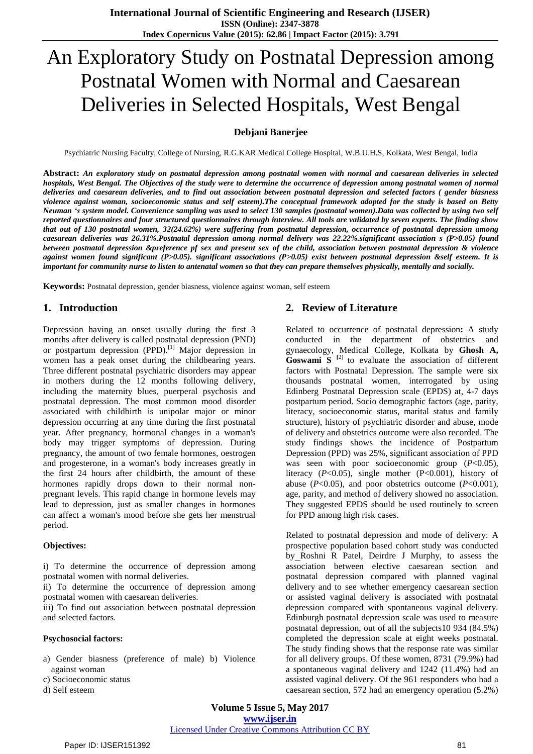# An Exploratory Study on Postnatal Depression among Postnatal Women with Normal and Caesarean Deliveries in Selected Hospitals, West Bengal

#### **Debjani Banerjee**

Psychiatric Nursing Faculty, College of Nursing, R.G.KAR Medical College Hospital, W.B.U.H.S, Kolkata, West Bengal, India

Abstract: An exploratory study on postnatal depression among postnatal women with normal and caesarean deliveries in selected hospitals, West Bengal. The Objectives of the study were to determine the occurrence of depression among postnatal women of normal deliveries and caesarean deliveries, and to find out association between postnatal depression and selected factors ( gender biasness violence against woman, socioeconomic status and self esteem). The conceptual framework adopted for the study is based on Betty Neuman 's system model. Convenience sampling was used to select 130 samples (postnatal women). Data was collected by using two self reported questionnaires and four structured questionnaires through interview. All tools are validated by seven experts. The finding show that out of 130 postnatal women, 32(24.62%) were suffering from postnatal depression, occurrence of postnatal depression among *caesarean deliveries was 26.31%.Postnatal depression among normal delivery was 22.22%.significant association s (P>0.05) found* between postnatal depression &preference pf sex and present sex of the child, association between postnatal depression & violence against women found significant (P>0.05). significant associations (P>0.05) exist between postnatal depression &self esteem. It is important for community nurse to listen to antenatal women so that they can prepare themselves physically, mentally and socially.

**Keywords:** Postnatal depression, gender biasness, violence against woman, self esteem

#### **1. Introduction**

Depression having an onset usually during the first 3 months after delivery is called postnatal depression (PND) or postpartum depression (PPD).<sup>[1]</sup> Major depression in women has a peak onset during the childbearing years. Three different postnatal psychiatric disorders may appear in mothers during the 12 months following delivery, including the maternity blues, puerperal psychosis and postnatal depression. The most common mood disorder associated with childbirth is unipolar major or minor depression occurring at any time during the first postnatal year. After pregnancy, hormonal changes in a woman's body may trigger symptoms of depression. During pregnancy, the amount of two female hormones, oestrogen and progesterone, in a woman's body increases greatly in the first 24 hours after childbirth, the amount of these hormones rapidly drops down to their normal nonpregnant levels. This rapid change in hormone levels may lead to depression, just as smaller changes in hormones can affect a woman's mood before she gets her menstrual period.

#### **Objectives:**

i) To determine the occurrence of depression among postnatal women with normal deliveries.

ii) To determine the occurrence of depression among postnatal women with caesarean deliveries.

iii) To find out association between postnatal depression and selected factors.

#### **Psychosocial factors:**

a) Gender biasness (preference of male) b) Violence against woman

c) Socioeconomic status

d) Self esteem

#### **2. Review of Literature**

Related to occurrence of postnatal depression**:** A study conducted in the department of obstetrics and gynaecology, Medical College, Kolkata by **Ghosh A, Goswami S [**2] to evaluate the association of different factors with Postnatal Depression. The sample were six thousands postnatal women, interrogated by using Edinberg Postnatal Depression scale (EPDS) at, 4-7 days postpartum period. Socio demographic factors (age, parity, literacy, socioeconomic status, marital status and family structure), history of psychiatric disorder and abuse, mode of delivery and obstetrics outcome were also recorded. The study findings shows the incidence of Postpartum Depression (PPD) was 25%, significant association of PPD was seen with poor socioeconomic group (*P*<0.05), literacy (*P*<0.05), single mother (P<0.001), history of abuse (*P*<0.05), and poor obstetrics outcome (*P*<0.001), age, parity, and method of delivery showed no association. They suggested EPDS should be used routinely to screen for PPD among high risk cases.

Related to postnatal depression and mode of delivery: A prospective population based cohort study was conducted by Roshni R Patel, Deirdre J Murphy, to assess the association between elective caesarean section and postnatal depression compared with planned vaginal delivery and to see whether emergency caesarean section or assisted vaginal delivery is associated with postnatal depression compared with spontaneous vaginal delivery. Edinburgh postnatal depression scale was used to measure postnatal depression, out of all the subjects10 934 (84.5%) completed the depression scale at eight weeks postnatal. The study finding shows that the response rate was similar for all delivery groups. Of these women, 8731 (79.9%) had a spontaneous vaginal delivery and 1242 (11.4%) had an assisted vaginal delivery. Of the 961 responders who had a caesarean section, 572 had an emergency operation (5.2%)

**Volume 5 Issue 5, May 2017 www.ijser.in**

#### Licensed Under Creative Commons Attribution CC BY